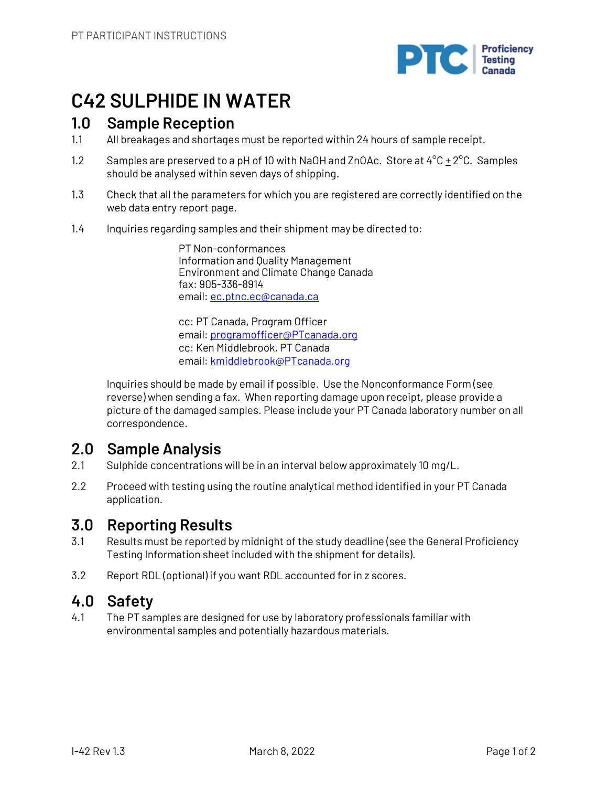

# **C42 SULPHIDE IN WATER**

## **1.0 Sample Reception**

- 1.1 All breakages and shortages must be reported within 24 hours of sample receipt.
- 1.2 Samples are preserved to a pH of 10 with NaOH and ZnOAc. Store at  $4^{\circ}$ C  $\pm$  2 $^{\circ}$ C. Samples should be analysed within seven days of shipping.
- 1.3 Check that all the parameters for which you are registered are correctly identified on the web data entry report page.
- 1.4 Inquiries regarding samples and their shipment may be directed to:

PT Non-conformances Information and Quality Management Environment and Climate Change Canada fax: 905-336-8914 email: ec.ptnc.ec@canada.ca

cc: PT Canada, Program Officer email: programofficer@PTcanada.org cc: Ken Middlebrook, PT Canada email: kmiddlebrook@PTcanada.org

Inquiries should be made by email if possible. Use the Nonconformance Form (see reverse) when sending a fax. When reporting damage upon receipt, please provide a picture of the damaged samples. Please include your PT Canada laboratory number on all correspondence.

# **2.0 Sample Analysis**

- 2.1 Sulphide concentrations will be in an interval below approximately 10 mg/L.
- 2.2 Proceed with testing using the routine analytical method identified in your PT Canada application.

## **3.0 Reporting Results**

- 3.1 Results must be reported by midnight of the study deadline (see the General Proficiency Testing Information sheet included with the shipment for details).
- 3.2 Report RDL (optional) if you want RDL accounted for in z scores.

## **4.0 Safety**

4.1 The PT samples are designed for use by laboratory professionals familiar with environmental samples and potentially hazardous materials.